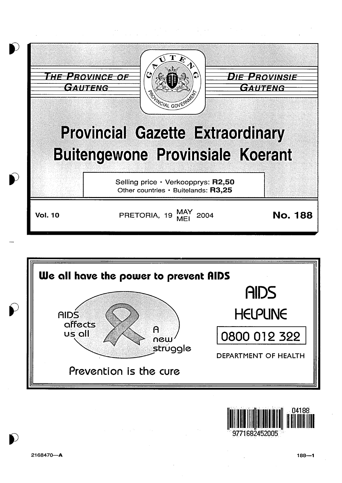





9771682452005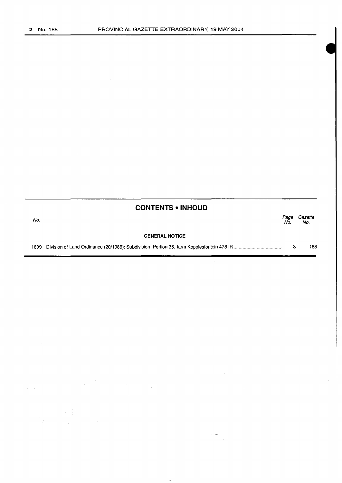|      | <b>CONTENTS • INHOUD</b> |             |                |
|------|--------------------------|-------------|----------------|
| No.  |                          | Page<br>No. | Gazette<br>No. |
|      | <b>GENERAL NOTICE</b>    |             |                |
| 1609 |                          | 3           | 188            |

 $\bar{\mathcal{A}}_s$ 

 $\sim$   $\sim$ ÷.

 $\ddot{\phantom{a}}$ 

÷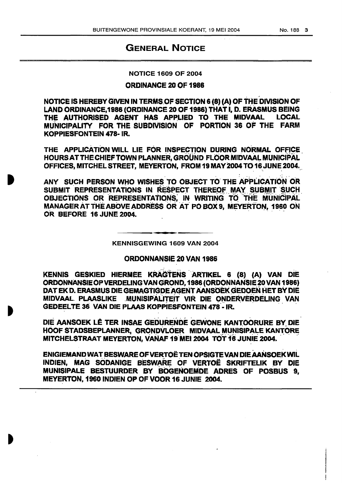## **GENERAL NOTICE**

## **NOTICE 1609 OF 2004**

## ORDINANCE 20 OF 1986

NOTICE IS HEREBY GIVEN IN TERMS OF SECTION 6 (8) (A) OF THE DIVISION OF LAND ORDINANCE, 1986 (ORDINANCE 20 OF 1986) THAT I, D. ERASMUS BEING THE AUTHORISED AGENT HAS APPLIED TO THE MIDVAAL **LOCAL** MUNICIPALITY FOR THE SUBDIVISION OF PORTION 36 OF THE FARM **KOPPIESFONTEIN 478- IR.** 

THE APPLICATION WILL LIE FOR INSPECTION DURING NORMAL OFFICE HOURS AT THE CHIEF TOWN PLANNER, GROUND FLOOR MIDVAAL MUNICIPAL OFFICES, MITCHEL STREET, MEYERTON, FROM 19 MAY 2004 TO 16 JUNE 2004.

ANY SUCH PERSON WHO WISHES TO OBJECT TO THE APPLICATION OR SUBMIT REPRESENTATIONS IN RESPECT THEREOF MAY SUBMIT SUCH OBJECTIONS OR REPRESENTATIONS. IN WRITING TO THE MUNICIPAL MANAGER AT THE ABOVE ADDRESS OR AT PO BOX 9, MEYERTON, 1960 ON OR BEFORE 16 JUNE 2004.

KENNISGEWING 1609 VAN 2004

## ORDONNANSIE 20 VAN 1986

KENNIS GESKIED HIERMEE KRAGTENS ARTIKEL 6 (8) (A) VAN DIE ORDONNANSIE OP VERDELING VAN GROND, 1986 (ORDONNANSIE 20 VAN 1986) DAT EK D. ERASMUS DIE GEMAGTIGDE AGENT AANSOEK GEDOEN HET BY DIE MIDVAAL PLAASLIKE MUNISIPALITEIT VIR DIE ONDERVERDELING VAN GEDEELTE 36 VAN DIE PLAAS KOPPIESFONTEIN 478 - IR.

DIE AANSOEK LÊ TER INSAE GEDURENDE GEWONE KANTOORURE BY DIE HOOF STADSBEPLANNER, GRONDVLOER MIDVAAL MUNISIPALE KANTORE MITCHELSTRAAT MEYERTON, VANAF 19 MEI 2004 TOT 16 JUNIE 2004.

ENIGIEMAND WAT BESWARE OF VERTOË TEN OPSIGTE VAN DIE AANSOEK WIL INDIEN, MAG SODANIGE BESWARE OF VERTOË SKRIFTELIK BY DIE MUNISIPALE BESTUURDER BY BOGENOEMDE ADRES OF POSBUS 9. MEYERTON, 1960 INDIEN OP OF VOOR 16 JUNIE 2004.